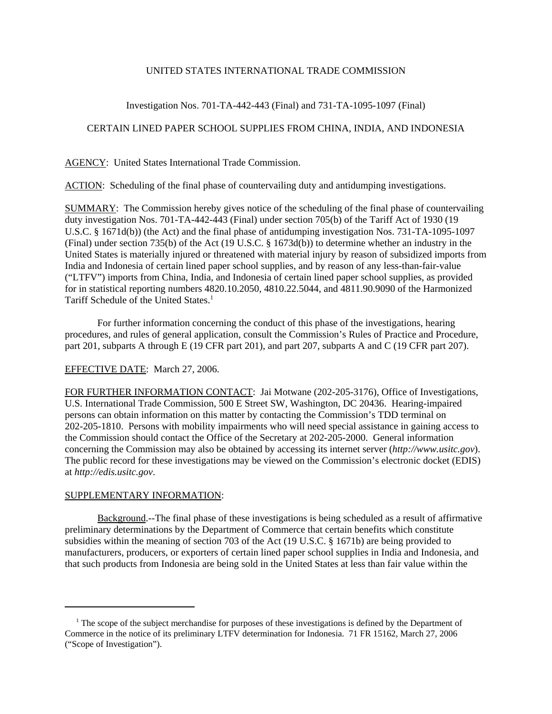## UNITED STATES INTERNATIONAL TRADE COMMISSION

## Investigation Nos. 701-TA-442-443 (Final) and 731-TA-1095-1097 (Final)

## CERTAIN LINED PAPER SCHOOL SUPPLIES FROM CHINA, INDIA, AND INDONESIA

AGENCY: United States International Trade Commission.

ACTION: Scheduling of the final phase of countervailing duty and antidumping investigations.

SUMMARY: The Commission hereby gives notice of the scheduling of the final phase of countervailing duty investigation Nos. 701-TA-442-443 (Final) under section 705(b) of the Tariff Act of 1930 (19 U.S.C. § 1671d(b)) (the Act) and the final phase of antidumping investigation Nos. 731-TA-1095-1097 (Final) under section 735(b) of the Act (19 U.S.C. § 1673d(b)) to determine whether an industry in the United States is materially injured or threatened with material injury by reason of subsidized imports from India and Indonesia of certain lined paper school supplies, and by reason of any less-than-fair-value ("LTFV") imports from China, India, and Indonesia of certain lined paper school supplies, as provided for in statistical reporting numbers 4820.10.2050, 4810.22.5044, and 4811.90.9090 of the Harmonized Tariff Schedule of the United States.<sup>1</sup>

For further information concerning the conduct of this phase of the investigations, hearing procedures, and rules of general application, consult the Commission's Rules of Practice and Procedure, part 201, subparts A through E (19 CFR part 201), and part 207, subparts A and C (19 CFR part 207).

# EFFECTIVE DATE: March 27, 2006.

FOR FURTHER INFORMATION CONTACT: Jai Motwane (202-205-3176), Office of Investigations, U.S. International Trade Commission, 500 E Street SW, Washington, DC 20436. Hearing-impaired persons can obtain information on this matter by contacting the Commission's TDD terminal on 202-205-1810. Persons with mobility impairments who will need special assistance in gaining access to the Commission should contact the Office of the Secretary at 202-205-2000. General information concerning the Commission may also be obtained by accessing its internet server (*http://www.usitc.gov*). The public record for these investigations may be viewed on the Commission's electronic docket (EDIS) at *http://edis.usitc.gov*.

#### SUPPLEMENTARY INFORMATION:

Background.--The final phase of these investigations is being scheduled as a result of affirmative preliminary determinations by the Department of Commerce that certain benefits which constitute subsidies within the meaning of section 703 of the Act (19 U.S.C. § 1671b) are being provided to manufacturers, producers, or exporters of certain lined paper school supplies in India and Indonesia, and that such products from Indonesia are being sold in the United States at less than fair value within the

<sup>&</sup>lt;sup>1</sup> The scope of the subject merchandise for purposes of these investigations is defined by the Department of Commerce in the notice of its preliminary LTFV determination for Indonesia. 71 FR 15162, March 27, 2006 ("Scope of Investigation").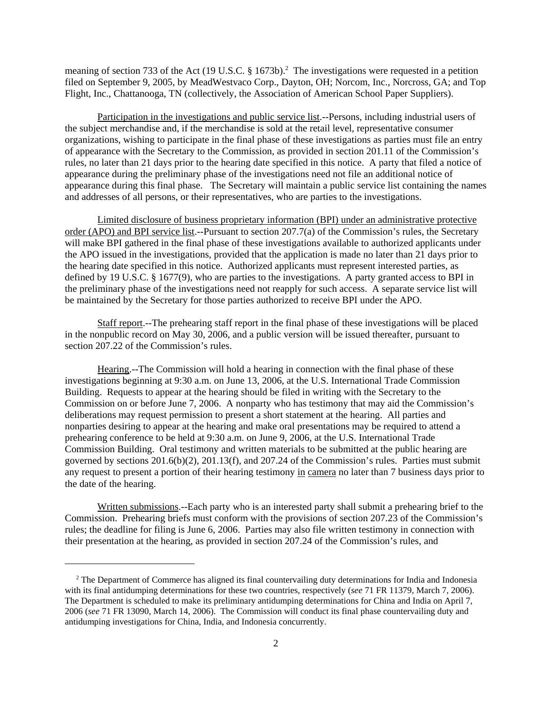meaning of section 733 of the Act (19 U.S.C. § 1673b).<sup>2</sup> The investigations were requested in a petition filed on September 9, 2005, by MeadWestvaco Corp., Dayton, OH; Norcom, Inc., Norcross, GA; and Top Flight, Inc., Chattanooga, TN (collectively, the Association of American School Paper Suppliers).

Participation in the investigations and public service list.--Persons, including industrial users of the subject merchandise and, if the merchandise is sold at the retail level, representative consumer organizations, wishing to participate in the final phase of these investigations as parties must file an entry of appearance with the Secretary to the Commission, as provided in section 201.11 of the Commission's rules, no later than 21 days prior to the hearing date specified in this notice. A party that filed a notice of appearance during the preliminary phase of the investigations need not file an additional notice of appearance during this final phase. The Secretary will maintain a public service list containing the names and addresses of all persons, or their representatives, who are parties to the investigations.

Limited disclosure of business proprietary information (BPI) under an administrative protective order (APO) and BPI service list.--Pursuant to section 207.7(a) of the Commission's rules, the Secretary will make BPI gathered in the final phase of these investigations available to authorized applicants under the APO issued in the investigations, provided that the application is made no later than 21 days prior to the hearing date specified in this notice. Authorized applicants must represent interested parties, as defined by 19 U.S.C. § 1677(9), who are parties to the investigations. A party granted access to BPI in the preliminary phase of the investigations need not reapply for such access. A separate service list will be maintained by the Secretary for those parties authorized to receive BPI under the APO.

Staff report.--The prehearing staff report in the final phase of these investigations will be placed in the nonpublic record on May 30, 2006, and a public version will be issued thereafter, pursuant to section 207.22 of the Commission's rules.

Hearing.--The Commission will hold a hearing in connection with the final phase of these investigations beginning at 9:30 a.m. on June 13, 2006, at the U.S. International Trade Commission Building. Requests to appear at the hearing should be filed in writing with the Secretary to the Commission on or before June 7, 2006. A nonparty who has testimony that may aid the Commission's deliberations may request permission to present a short statement at the hearing. All parties and nonparties desiring to appear at the hearing and make oral presentations may be required to attend a prehearing conference to be held at 9:30 a.m. on June 9, 2006, at the U.S. International Trade Commission Building. Oral testimony and written materials to be submitted at the public hearing are governed by sections 201.6(b)(2), 201.13(f), and 207.24 of the Commission's rules. Parties must submit any request to present a portion of their hearing testimony in camera no later than 7 business days prior to the date of the hearing.

Written submissions.--Each party who is an interested party shall submit a prehearing brief to the Commission. Prehearing briefs must conform with the provisions of section 207.23 of the Commission's rules; the deadline for filing is June 6, 2006. Parties may also file written testimony in connection with their presentation at the hearing, as provided in section 207.24 of the Commission's rules, and

<sup>&</sup>lt;sup>2</sup> The Department of Commerce has aligned its final countervailing duty determinations for India and Indonesia with its final antidumping determinations for these two countries, respectively (*see* 71 FR 11379, March 7, 2006). The Department is scheduled to make its preliminary antidumping determinations for China and India on April 7, 2006 (*see* 71 FR 13090, March 14, 2006). The Commission will conduct its final phase countervailing duty and antidumping investigations for China, India, and Indonesia concurrently.